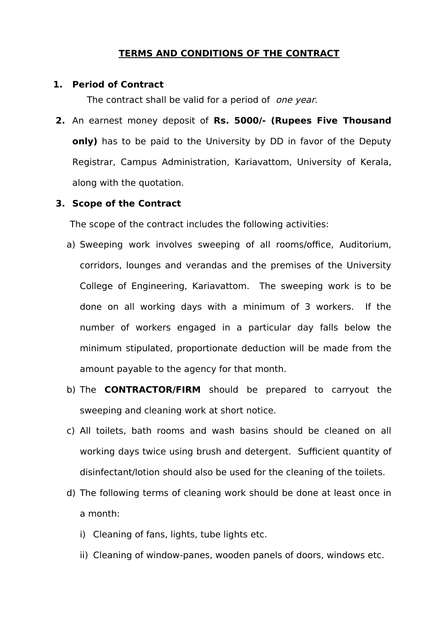## **TERMS AND CONDITIONS OF THE CONTRACT**

#### **1. Period of Contract**

The contract shall be valid for a period of one year.

**2.** An earnest money deposit of **Rs. 5000/- (Rupees Five Thousand only)** has to be paid to the University by DD in favor of the Deputy Registrar, Campus Administration, Kariavattom, University of Kerala, along with the quotation.

#### **3. Scope of the Contract**

The scope of the contract includes the following activities:

- a) Sweeping work involves sweeping of all rooms/office, Auditorium, corridors, lounges and verandas and the premises of the University College of Engineering, Kariavattom. The sweeping work is to be done on all working days with a minimum of 3 workers. If the number of workers engaged in a particular day falls below the minimum stipulated, proportionate deduction will be made from the amount payable to the agency for that month.
- b) The **CONTRACTOR/FIRM** should be prepared to carryout the sweeping and cleaning work at short notice.
- c) All toilets, bath rooms and wash basins should be cleaned on all working days twice using brush and detergent. Sufficient quantity of disinfectant/lotion should also be used for the cleaning of the toilets.
- d) The following terms of cleaning work should be done at least once in a month:
	- i) Cleaning of fans, lights, tube lights etc.
	- ii) Cleaning of window-panes, wooden panels of doors, windows etc.